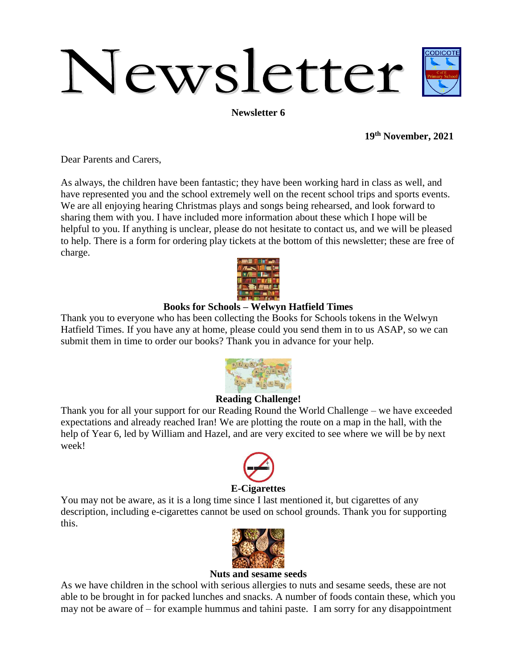# Newsletter

**Newsletter 6**

**19th November, 2021**

Dear Parents and Carers,

As always, the children have been fantastic; they have been working hard in class as well, and have represented you and the school extremely well on the recent school trips and sports events. We are all enjoying hearing Christmas plays and songs being rehearsed, and look forward to sharing them with you. I have included more information about these which I hope will be helpful to you. If anything is unclear, please do not hesitate to contact us, and we will be pleased to help. There is a form for ordering play tickets at the bottom of this newsletter; these are free of charge.



## **Books for Schools – Welwyn Hatfield Times**

Thank you to everyone who has been collecting the Books for Schools tokens in the Welwyn Hatfield Times. If you have any at home, please could you send them in to us ASAP, so we can submit them in time to order our books? Thank you in advance for your help.



## **Reading Challenge!**

Thank you for all your support for our Reading Round the World Challenge – we have exceeded expectations and already reached Iran! We are plotting the route on a map in the hall, with the help of Year 6, led by William and Hazel, and are very excited to see where we will be by next week!



## **E-Cigarettes**

You may not be aware, as it is a long time since I last mentioned it, but cigarettes of any description, including e-cigarettes cannot be used on school grounds. Thank you for supporting this.



#### **Nuts and sesame seeds**

As we have children in the school with serious allergies to nuts and sesame seeds, these are not able to be brought in for packed lunches and snacks. A number of foods contain these, which you may not be aware of – for example hummus and tahini paste. I am sorry for any disappointment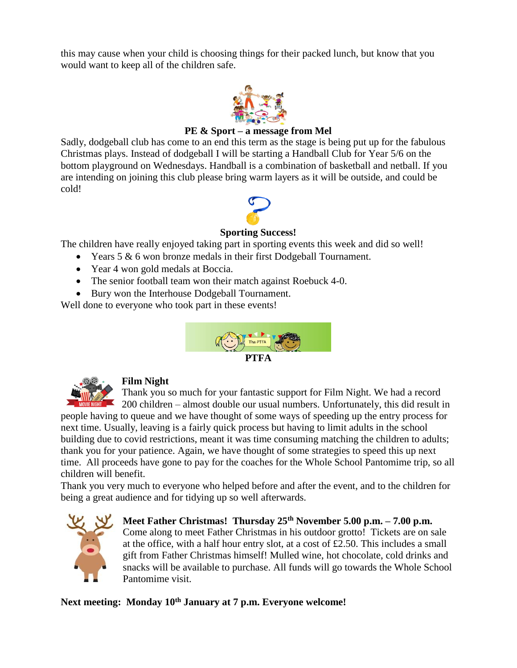this may cause when your child is choosing things for their packed lunch, but know that you would want to keep all of the children safe.



#### **PE & Sport – a message from Mel**

Sadly, dodgeball club has come to an end this term as the stage is being put up for the fabulous Christmas plays. Instead of dodgeball I will be starting a Handball Club for Year 5/6 on the bottom playground on Wednesdays. Handball is a combination of basketball and netball. If you are intending on joining this club please bring warm layers as it will be outside, and could be cold!



### **Sporting Success!**

The children have really enjoyed taking part in sporting events this week and did so well!

- Years 5 & 6 won bronze medals in their first Dodgeball Tournament.
- Year 4 won gold medals at Boccia.
- The senior football team won their match against Roebuck 4-0.
- Bury won the Interhouse Dodgeball Tournament.

Well done to everyone who took part in these events!





#### **Film Night**

Thank you so much for your fantastic support for Film Night. We had a record  $\sim$  200 children – almost double our usual numbers. Unfortunately, this did result in

people having to queue and we have thought of some ways of speeding up the entry process for next time. Usually, leaving is a fairly quick process but having to limit adults in the school building due to covid restrictions, meant it was time consuming matching the children to adults; thank you for your patience. Again, we have thought of some strategies to speed this up next time. All proceeds have gone to pay for the coaches for the Whole School Pantomime trip, so all children will benefit.

Thank you very much to everyone who helped before and after the event, and to the children for being a great audience and for tidying up so well afterwards.



**Meet Father Christmas! Thursday 25th November 5.00 p.m. – 7.00 p.m.** Come along to meet Father Christmas in his outdoor grotto! Tickets are on sale at the office, with a half hour entry slot, at a cost of  $£2.50$ . This includes a small gift from Father Christmas himself! Mulled wine, hot chocolate, cold drinks and snacks will be available to purchase. All funds will go towards the Whole School Pantomime visit.

**Next meeting: Monday 10th January at 7 p.m. Everyone welcome!**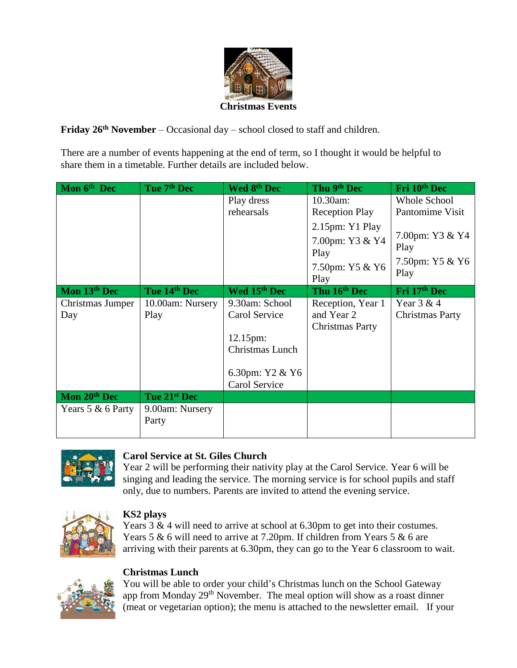

**Friday 26th November** – Occasional day – school closed to staff and children.

There are a number of events happening at the end of term, so I thought it would be helpful to share them in a timetable. Further details are included below.

| Mon 6 <sup>th</sup> Dec | Tue 7 <sup>th</sup> Dec  | Wed 8th Dec                                                                                        | Thu 9th Dec                                                              | Fri 10th Dec                                       |
|-------------------------|--------------------------|----------------------------------------------------------------------------------------------------|--------------------------------------------------------------------------|----------------------------------------------------|
|                         |                          | Play dress<br>rehearsals                                                                           | 10.30am:<br><b>Reception Play</b>                                        | Whole School<br>Pantomime Visit                    |
|                         |                          |                                                                                                    | $2.15$ pm: Y1 Play<br>7.00pm: Y3 & Y4<br>Play<br>7.50pm: Y5 & Y6<br>Play | 7.00pm: Y3 & Y4<br>Play<br>7.50pm: Y5 & Y6<br>Play |
| Mon 13th Dec            | Tue 14th Dec             | Wed 15th Dec                                                                                       | Thu 16th Dec                                                             | Fri 17th Dec                                       |
| Christmas Jumper<br>Day | 10.00am: Nursery<br>Play | 9.30am: School<br>Carol Service<br>12.15pm:<br>Christmas Lunch<br>6.30pm: Y2 & Y6<br>Carol Service | Reception, Year 1<br>and Year 2<br><b>Christmas Party</b>                | Year $3 & 4$<br><b>Christmas Party</b>             |
| Mon 20th Dec            | Tue 21st Dec             |                                                                                                    |                                                                          |                                                    |
| Years 5 & 6 Party       | 9.00am: Nursery<br>Party |                                                                                                    |                                                                          |                                                    |



## **Carol Service at St. Giles Church**

Year 2 will be performing their nativity play at the Carol Service. Year 6 will be singing and leading the service. The morning service is for school pupils and staff only, due to numbers. Parents are invited to attend the evening service.



## **KS2 plays**

Years 3 & 4 will need to arrive at school at 6.30pm to get into their costumes. Years 5 & 6 will need to arrive at 7.20pm. If children from Years 5 & 6 are arriving with their parents at 6.30pm, they can go to the Year 6 classroom to wait.

# **Christmas Lunch**



You will be able to order your child's Christmas lunch on the School Gateway app from Monday  $29<sup>th</sup>$  November. The meal option will show as a roast dinner (meat or vegetarian option); the menu is attached to the newsletter email. If your